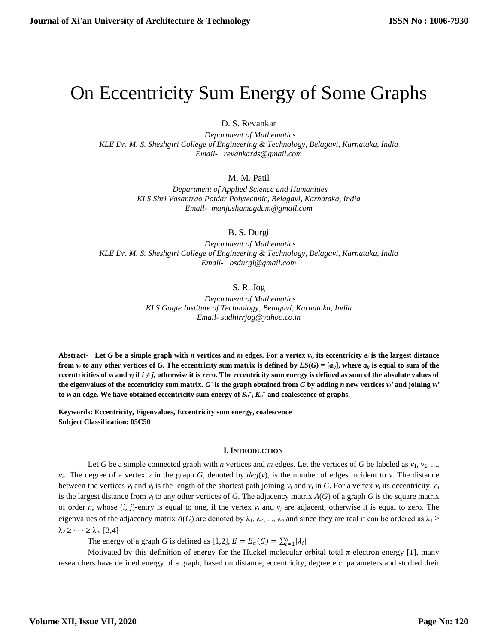# On Eccentricity Sum Energy of Some Graphs

D. S. Revankar

 *Department of Mathematics KLE Dr. M. S. Sheshgiri College of Engineering & Technology, Belagavi, Karnataka, India Email- [revankards@gmail.com](mailto:revankards@gmail.com)*

M. M. Patil

 *Department of Applied Science and Humanities KLS Shri Vasantrao Potdar Polytechnic, Belagavi, Karnataka, India Email- [manjushamagdum@gmail.com](mailto:manjushamagdum@gmail.com)*

B. S. Durgi

 *Department of Mathematics KLE Dr. M. S. Sheshgiri College of Engineering & Technology, Belagavi, Karnataka, India [Email- bsdurgi@gmail.com](mailto:Email-%20%20%20bsdurgi@gmail.com)* 

## S. R. Jog

 *Department of Mathematics KLS Gogte Institute of Technology, Belagavi, Karnataka, India Email- [sudhirrjog@yahoo.co.in](mailto:Email-%20sudhirrjog@yahoo.co.in)* 

Abstract- Let *G* be a simple graph with *n* vertices and *m* edges. For a vertex  $v_i$ , its eccentricity  $e_i$  is the largest distance from  $v_i$  to any other vertices of G. The eccentricity sum matrix is defined by  $ES(G) = [a_{ij}]$ , where  $a_{ij}$  is equal to sum of the **eccentricities** of  $v_i$  and  $v_j$  if  $i \neq j$ , otherwise it is zero. The eccentricity sum energy is defined as sum of the absolute values of the eigenvalues of the eccentricity sum matrix.  $G^+$  is the graph obtained from G by adding n new vertices  $v_i$ ' and joining  $v_i$ ' **to**  $v_i$  an edge. We have obtained eccentricity sum energy of  $S_n^+$ ,  $K_n^+$  and coalescence of graphs.

**Keywords: Eccentricity, Eigenvalues, Eccentricity sum energy, coalescence Subject Classification: 05C50**

#### **I. INTRODUCTION**

Let *G* be a simple connected graph with *n* vertices and *m* edges. Let the vertices of *G* be labeled as  $v_1, v_2, ...,$  $v_n$ . The degree of a vertex *v* in the graph *G*, denoted by  $deg(v)$ , is the number of edges incident to *v*. The distance between the vertices  $v_i$  and  $v_j$  is the length of the shortest path joining  $v_i$  and  $v_j$  in *G*. For a vertex  $v_i$  its eccentricity,  $e_i$ is the largest distance from  $v_i$  to any other vertices of G. The adjacency matrix  $A(G)$  of a graph G is the square matrix of order *n*, whose  $(i, j)$ -entry is equal to one, if the vertex  $v_i$  and  $v_j$  are adjacent, otherwise it is equal to zero. The eigenvalues of the adjacency matrix  $A(G)$  are denoted by  $\lambda_1, \lambda_2, ..., \lambda_n$  and since they are real it can be ordered as  $\lambda_1 \geq$  $\lambda_2 \geq \cdots \geq \lambda_n$ . [3,4]

The energy of a graph *G* is defined as [1,2],  $E = E_{\pi}(G) = \sum_{i=1}^{n} |\lambda_i|$ 

Motivated by this definition of energy for the Huckel molecular orbital total π-electron energy [1], many researchers have defined energy of a graph, based on distance, eccentricity, degree etc. parameters and studied their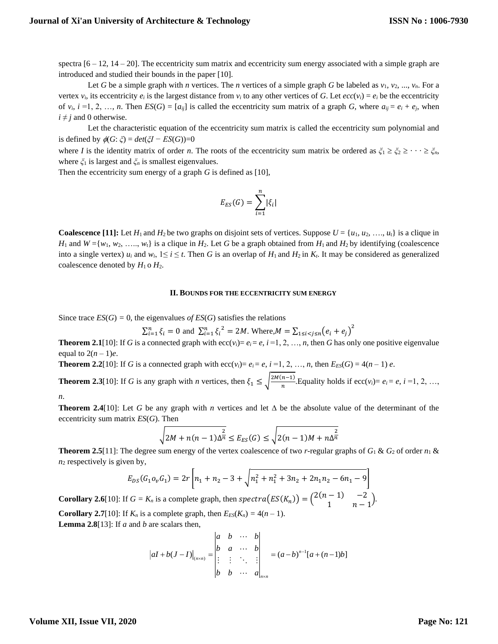spectra  $[6 - 12, 14 - 20]$ . The eccentricity sum matrix and eccentricity sum energy associated with a simple graph are introduced and studied their bounds in the paper [10].

Let *G* be a simple graph with *n* vertices. The *n* vertices of a simple graph *G* be labeled as  $v_1, v_2, ..., v_n$ . For a vertex  $v_i$ , its eccentricity  $e_i$  is the largest distance from  $v_i$  to any other vertices of *G*. Let  $ecc(v_i) = e_i$  be the eccentricity of  $v_i$ ,  $i = 1, 2, ..., n$ . Then  $ES(G) = [a_{ij}]$  is called the eccentricity sum matrix of a graph *G*, where  $a_{ij} = e_i + e_j$ , when  $i \neq j$  and 0 otherwise.

Let the characteristic equation of the eccentricity sum matrix is called the eccentricity sum polynomial and is defined by  $\phi(G; \zeta) = det(\zeta I - ES(G))=0$ 

where *I* is the identity matrix of order *n*. The roots of the eccentricity sum matrix be ordered as  $\zeta_1 \geq \zeta_2 \geq \cdots \geq \zeta_n$ , where *ξ*<sup>1</sup> is largest and *ξ<sup>n</sup>* is smallest eigenvalues.

Then the eccentricity sum energy of a graph *G* is defined as [10],

$$
E_{ES}(G) = \sum_{i=1}^{n} |\xi_i|
$$

**Coalescence** [11]: Let  $H_1$  and  $H_2$  be two graphs on disjoint sets of vertices. Suppose  $U = \{u_1, u_2, \ldots, u_t\}$  is a clique in *H*<sub>1</sub> and  $W = \{w_1, w_2, \ldots, w_t\}$  is a clique in  $H_2$ . Let *G* be a graph obtained from  $H_1$  and  $H_2$  by identifying (coalescence into a single vertex)  $u_i$  and  $w_i$ ,  $1 \le i \le t$ . Then *G* is an overlap of  $H_1$  and  $H_2$  in  $K_t$ . It may be considered as generalized coalescence denoted by  $H_1$  o  $H_2$ .

#### **II. BOUNDS FOR THE ECCENTRICITY SUM ENERGY**

Since trace  $ES(G) = 0$ , the eigenvalues *of ES(G)* satisfies the relations

$$
\sum_{i=1}^{n} \xi_i = 0 \text{ and } \sum_{i=1}^{n} \xi_i^2 = 2M. \text{ Where, } M = \sum_{1 \le i < j \le n} (e_i + e_j)^2
$$

**Theorem 2.1**[10]: If *G* is a connected graph with ecc(*v<sub>i</sub>*)=  $e_i$  *i* =1, 2, …, *n*, then *G* has only one positive eigenvalue equal to  $2(n-1)e$ .

**Theorem 2.2**[10]: If *G* is a connected graph with  $\text{ecc}(v_i) = e_i = e$ ,  $i = 1, 2, ..., n$ , then  $E_{ES}(G) = 4(n - 1) e$ .

**Theorem 2.3**[10]: If *G* is any graph with *n* vertices, then  $\xi_1 \leq \sqrt{\frac{2M(n-1)}{n}}$  $\frac{n-1}{n}$ . Equality holds if ecc(*v<sub>i</sub>*)=  $e_i$  =  $e$ ,  $i$  =1, 2, …,

*n*.

**Theorem 2.4**[10]: Let *G* be any graph with *n* vertices and let  $\Delta$  be the absolute value of the determinant of the eccentricity sum matrix *ES*(*G*). Then

$$
\sqrt{2M + n(n-1)\Delta_n^2} \le E_{ES}(G) \le \sqrt{2(n-1)M + n\Delta_n^2}
$$

**Theorem 2.5**[11]: The degree sum energy of the vertex coalescence of two *r*-regular graphs of  $G_1 \& G_2$  of order  $n_1 \&$  $n_2$  respectively is given by,

$$
E_{DS}(G_1 o_v G_1) = 2r \left[ n_1 + n_2 - 3 + \sqrt{n_1^2 + n_1^2 + 3n_2 + 2n_1 n_2 - 6n_1 - 9} \right]
$$

**Corollary 2.6**[10]: If  $G = K_n$  is a complete graph, then  $spectra(ES(K_n)) = \begin{pmatrix} 2(n-1) & -2 \\ 1 & n \end{pmatrix}$  $\begin{pmatrix} -1 & -2 \\ 1 & n-1 \end{pmatrix}$ . **Corollary 2.7**[10]: If  $K_n$  is a complete graph, then  $E_{ES}(K_n) = 4(n-1)$ . **Lemma 2.8**[13]: If *a* and *b* are scalars then,

$$
|aI + b(J - I)|_{(n \times n)} = \begin{vmatrix} a & b & \cdots & b \\ b & a & \cdots & b \\ \vdots & \vdots & \ddots & \vdots \\ b & b & \cdots & a \end{vmatrix}_{n \times n} = (a - b)^{n-1} [a + (n-1)b]
$$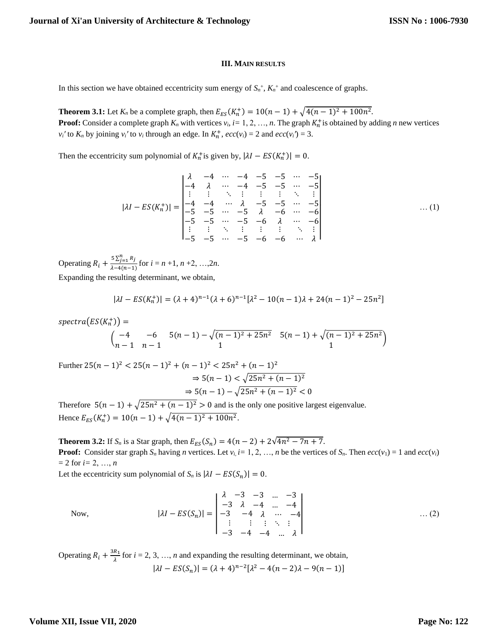## **III. MAIN RESULTS**

In this section we have obtained eccentricity sum energy of  $S_n^+$ ,  $K_n^+$  and coalescence of graphs.

**Theorem 3.1:** Let  $K_n$  be a complete graph, then  $E_{ES}(K_n^+) = 10(n - 1) + \sqrt{4(n - 1)^2 + 100n^2}$ . **Proof:** Consider a complete graph  $K_n$  with vertices  $v_i$ ,  $i = 1, 2, ..., n$ . The graph  $K_n^+$  is obtained by adding *n* new vertices *v*<sub>*i*</sub><sup>*'*</sup> to  $K_n$  by joining *v*<sub>*i*</sub><sup>*'*</sup> to *v*<sub>*i*</sub> through an edge. In  $K_n^+$ ,  $ecc(v_i) = 2$  and  $ecc(v_i') = 3$ .

Then the eccentricity sum polynomial of  $K_n^+$  is given by,  $|\lambda I - ES(K_n^+)| = 0$ .

$$
|\lambda I - ES(K_n^+)| = \begin{vmatrix}\n\lambda & -4 & \cdots & -4 & -5 & -5 & \cdots & -5 \\
-4 & \lambda & \cdots & -4 & -5 & -5 & \cdots & -5 \\
\vdots & \vdots & \ddots & \vdots & \vdots & \vdots & \ddots & \vdots \\
-4 & -4 & \cdots & \lambda & -5 & -5 & \cdots & -5 \\
-5 & -5 & \cdots & -5 & \lambda & -6 & \cdots & -6 \\
-5 & -5 & \cdots & -5 & -6 & \lambda & \cdots & -6 \\
\vdots & \vdots & \ddots & \vdots & \vdots & \vdots & \ddots & \vdots \\
-5 & -5 & \cdots & -5 & -6 & -6 & \cdots & \lambda\n\end{vmatrix} \qquad \dots (1)
$$

Operating  $R_i + \frac{5 \sum_{j=1}^{n} R_j}{\lambda - 4(n-1)}$  $\frac{32j+1}{\lambda-4(n-1)}$  for  $i = n+1, n+2, ..., 2n$ .

Expanding the resulting determinant, we obtain,

$$
|\lambda I - ES(K_n^+)| = (\lambda + 4)^{n-1}(\lambda + 6)^{n-1}[\lambda^2 - 10(n-1)\lambda + 24(n-1)^2 - 25n^2]
$$

 $spectra\big(ES(K^+_n)\big)=$ 

$$
\begin{pmatrix}\n-4 & -6 & 5(n-1) - \sqrt{(n-1)^2 + 25n^2} & 5(n-1) + \sqrt{(n-1)^2 + 25n^2} \\
n-1 & n-1 & 1\n\end{pmatrix}
$$

Further  $25(n-1)^2 < 25(n-1)^2 + (n-1)^2 < 25n^2 + (n-1)^2$  $\Rightarrow 5(n-1) < \sqrt{25n^2 + (n-1)^2}$  $\Rightarrow$  5(n - 1) -  $\sqrt{25n^2 + (n-1)^2}$  < 0

Therefore  $5(n-1) + \sqrt{25n^2 + (n-1)^2} > 0$  and is the only one positive largest eigenvalue. Hence  $E_{ES}(K_n^+) = 10(n-1) + \sqrt{4(n-1)^2 + 100n^2}$ .

**Theorem 3.2:** If  $S_n$  is a Star graph, then  $E_{ES}(S_n) = 4(n-2) + 2\sqrt{4n^2 - 7n + 7}$ . **Proof:** Consider star graph  $S_n$  having *n* vertices. Let  $v_i$  i= 1, 2, ..., *n* be the vertices of  $S_n$ . Then  $ecc(v_i) = 1$  and  $ecc(v_i)$ = 2 for *i=* 2, …, *n*

Let the eccentricity sum polynomial of  $S_n$  is  $|\lambda I - ES(S_n)| = 0$ .

Now, 
$$
|\lambda I - ES(S_n)| = \begin{vmatrix} \lambda & -3 & -3 & \dots & -3 \\ -3 & \lambda & -4 & \dots & -4 \\ -3 & -4 & \lambda & \dots & -4 \\ \vdots & \vdots & \vdots & \ddots & \vdots \\ -3 & -4 & -4 & \dots & \lambda \end{vmatrix}
$$
...(2)

Operating  $R_i + \frac{3R_1}{1}$  $\frac{n_1}{\lambda}$  for *i* = 2, 3, ..., *n* and expanding the resulting determinant, we obtain,  $|\lambda I - ES(S_n)| = (\lambda + 4)^{n-2} [\lambda^2 - 4(n-2)\lambda - 9(n-1)]$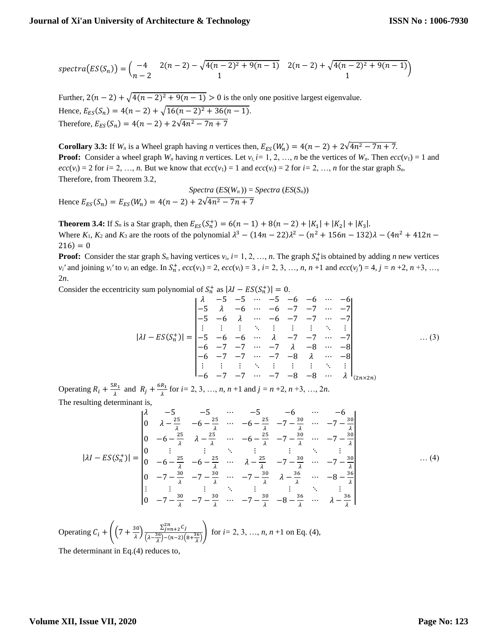$$
spectra(ES(S_n)) = { -4 \choose n-2} \frac{2(n-2) - \sqrt{4(n-2)^2 + 9(n-1)}}{1} \frac{2(n-2) + \sqrt{4(n-2)^2 + 9(n-1)}}{1}
$$

Further,  $2(n-2) + \sqrt{4(n-2)^2 + 9(n-1)} > 0$  is the only one positive largest eigenvalue. Hence,  $E_{ES}(S_n) = 4(n-2) + \sqrt{16(n-2)^2 + 36(n-1)}$ . Therefore,  $E_{ES}(S_n) = 4(n-2) + 2\sqrt{4n^2 - 7n + 7}$ 

**Corollary 3.3:** If  $W_n$  is a Wheel graph having *n* vertices then,  $E_{ES}(W_n) = 4(n-2) + 2\sqrt{4n^2 - 7n + 7}$ . **Proof:** Consider a wheel graph  $W_n$  having *n* vertices. Let  $v_i$  *i*= 1, 2, ..., *n* be the vertices of  $W_n$ . Then  $ecc(v_1) = 1$  and  $ecc(v_i) = 2$  for *i*= 2, …, *n*. But we know that  $ecc(v_1) = 1$  and  $ecc(v_i) = 2$  for *i*= 2, …, *n* for the star graph  $S_n$ . Therefore, from Theorem 3.2,

$$
Spectra\left(ES(W_n)\right) = Spectra\left(ES(S_n)\right)
$$
  
Hence  $E_{ES}(S_n) = E_{ES}(W_n) = 4(n-2) + 2\sqrt{4n^2 - 7n + 7}$ 

**Theorem 3.4:** If  $S_n$  is a Star graph, then  $E_{ES}(S_n^+) = 6(n-1) + 8(n-2) + |K_1| + |K_2| + |K_3|$ . Where  $K_1, K_2$  and  $K_3$  are the roots of the polynomial  $\lambda^3 - (14n - 22)\lambda^2 - (n^2 + 156n - 132)\lambda - (4n^2 + 412n 216) = 0$ 

**Proof:** Consider the star graph  $S_n$  having vertices  $v_i$ ,  $i = 1, 2, ..., n$ . The graph  $S_n^+$  is obtained by adding *n* new vertices  $v_i'$  and joining  $v_i'$  to  $v_i$  an edge. In  $S_n^+$ ,  $ecc(v_1) = 2$ ,  $ecc(v_i) = 3$ ,  $i = 2, 3, ..., n$ ,  $n + 1$  and  $ecc(v_i') = 4$ ,  $j = n + 2$ ,  $n + 3, ...,$ 2*n*.

Consider the eccentricity sum polynomial of  $S_n^+$  as  $|\lambda I - ES(S_n^+)| = 0$ .

$$
|\lambda I - ES(S_n^+)| = \begin{vmatrix}\n\lambda & -5 & -5 & \cdots & -5 & -6 & -6 & \cdots & -6 \\
-5 & \lambda & -6 & \cdots & -6 & -7 & -7 & \cdots & -7 \\
-5 & -6 & \lambda & \cdots & -6 & -7 & -7 & \cdots & -7 \\
\vdots & \vdots & \vdots & \ddots & \vdots & \vdots & \vdots & \ddots & \vdots \\
-5 & -6 & -6 & \cdots & \lambda & -7 & -7 & \cdots & -7 \\
-6 & -7 & -7 & \cdots & -7 & \lambda & -8 & \cdots & -8 \\
-6 & -7 & -7 & \cdots & -7 & -8 & \lambda & \cdots & -8 \\
\vdots & \vdots & \vdots & \ddots & \vdots & \vdots & \vdots & \ddots & \vdots \\
-6 & -7 & -7 & \cdots & -7 & -8 & -8 & \cdots & \lambda\n\end{vmatrix}_{(2n \times 2n)}
$$
\n(3)

Operating  $R_i + \frac{5R_1}{\lambda}$  $\frac{R_1}{\lambda}$  and  $R_j + \frac{6R_1}{\lambda}$  $\frac{n_1}{\lambda}$  for *i*= 2, 3, …, *n*, *n* +1 and *j* = *n* +2, *n* +3, …, 2*n*. The resulting determinant is,

$$
|\lambda I - ES(S_n^+)| = \begin{vmatrix} \lambda & -5 & -5 & \cdots & -5 & -6 & \cdots & -6 \\ 0 & \lambda - \frac{25}{\lambda} & -6 - \frac{25}{\lambda} & \cdots & -6 - \frac{25}{\lambda} & -7 - \frac{30}{\lambda} & \cdots & -7 - \frac{30}{\lambda} \\ 0 & -6 - \frac{25}{\lambda} & \lambda - \frac{25}{\lambda} & \cdots & -6 - \frac{25}{\lambda} & -7 - \frac{30}{\lambda} & \cdots & -7 - \frac{30}{\lambda} \\ 0 & \vdots & \vdots & \ddots & \vdots & \vdots & \ddots & \vdots \\ 0 & -6 - \frac{25}{\lambda} & -6 - \frac{25}{\lambda} & \cdots & \lambda - \frac{25}{\lambda} & -7 - \frac{30}{\lambda} & \cdots & -7 - \frac{30}{\lambda} \\ 0 & -7 - \frac{30}{\lambda} & -7 - \frac{30}{\lambda} & \cdots & -7 - \frac{30}{\lambda} & \lambda - \frac{36}{\lambda} & \cdots & -8 - \frac{36}{\lambda} \\ \vdots & \vdots & \vdots & \ddots & \vdots & \vdots & \ddots & \vdots \\ 0 & -7 - \frac{30}{\lambda} & -7 - \frac{30}{\lambda} & \cdots & -7 - \frac{30}{\lambda} & -8 - \frac{36}{\lambda} & \cdots & \lambda - \frac{36}{\lambda} \end{vmatrix}
$$
 (4)

Operating  $C_i + \left( \left(7 + \frac{30}{4}\right)$  $\frac{\sum_{j=n+2}^{2n} C_j}{\lambda \left(\lambda - \frac{36}{2}\right) - (n-2)}$  $\frac{2j=n+2^{\circ}}{(\lambda-\frac{36}{\lambda})-(n-2)(8+\frac{36}{\lambda})}$  for *i*= 2, 3, …, *n*, *n* +1 on Eq. (4), The determinant in Eq.(4) reduces to,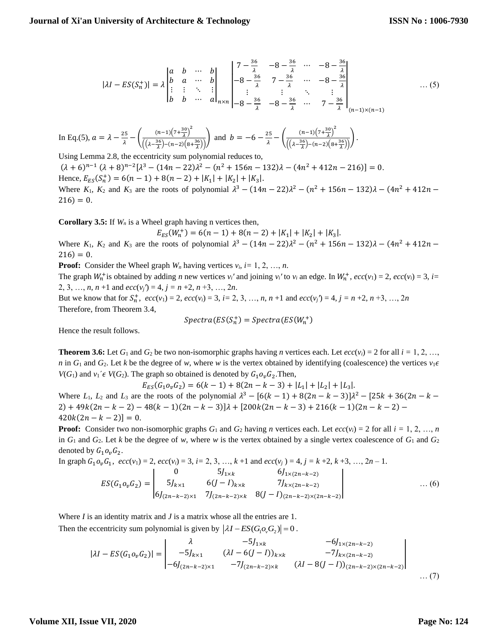$$
|\lambda I - ES(S_n^+)| = \lambda \begin{vmatrix} a & b & \cdots & b \\ b & a & \cdots & b \\ \vdots & \vdots & \ddots & \vdots \\ b & b & \cdots & a \end{vmatrix}_{n \times n} \begin{vmatrix} 7 - \frac{36}{\lambda} & -8 - \frac{36}{\lambda} & \cdots & -8 - \frac{36}{\lambda} \\ -8 - \frac{36}{\lambda} & 7 - \frac{36}{\lambda} & \cdots & -8 - \frac{36}{\lambda} \\ \vdots & \vdots & \ddots & \vdots \\ -8 - \frac{36}{\lambda} & -8 - \frac{36}{\lambda} & \cdots & 7 - \frac{36}{\lambda} \end{vmatrix}_{(n-1) \times (n-1)} \dots (5)
$$

In Eq.(5), 
$$
a = \lambda - \frac{25}{\lambda} - \left( \frac{(n-1)\left(7 + \frac{30}{\lambda}\right)^2}{\left(\left(\lambda - \frac{36}{\lambda}\right) - (n-2)\left(8 + \frac{36}{\lambda}\right)\right)} \right)
$$
 and  $b = -6 - \frac{25}{\lambda} - \left( \frac{(n-1)\left(7 + \frac{30}{\lambda}\right)^2}{\left(\left(\lambda - \frac{36}{\lambda}\right) - (n-2)\left(8 + \frac{36}{\lambda}\right)\right)} \right)$ .

Using Lemma 2.8, the eccentricity sum polynomial reduces to,  $(\lambda + 6)^{n-1} (\lambda + 8)^{n-2} [\lambda^3 - (14n - 22)\lambda^2 - (n^2 + 156n - 132)\lambda - (4n^2 + 412n - 216)] = 0.$ Hence,  $E_{ES}(S_n^+) = 6(n-1) + 8(n-2) + |K_1| + |K_2| + |K_3|$ . Where  $K_1$ ,  $K_2$  and  $K_3$  are the roots of polynomial  $\lambda^3 - (14n - 22)\lambda^2 - (n^2 + 156n - 132)\lambda - (4n^2 + 412n 216) = 0.$ 

**Corollary 3.5:** If *W<sup>n</sup>* is a Wheel graph having n vertices then,

$$
E_{ES}(W_n^+) = 6(n-1) + 8(n-2) + |K_1| + |K_2| + |K_3|.
$$

Where  $K_1$ ,  $K_2$  and  $K_3$  are the roots of polynomial  $\lambda^3 - (14n - 22)\lambda^2 - (n^2 + 156n - 132)\lambda - (4n^2 + 412n 216) = 0.$ 

**Proof:** Consider the Wheel graph  $W_n$  having vertices  $v_i$ ,  $i = 1, 2, ..., n$ .

The graph  $W_n^+$  is obtained by adding *n* new vertices  $v_i'$  and joining  $v_i'$  to  $v_i$  an edge. In  $W_n^+$ ,  $ecc(v_1) = 2$ ,  $ecc(v_i) = 3$ ,  $i =$ 2, 3, …, *n*, *n* +1 and  $ecc(v_j') = 4$ ,  $j = n + 2$ ,  $n + 3$ , …, 2*n*.

But we know that for  $S_n^+$ ,  $ecc(v_1) = 2$ ,  $ecc(v_i) = 3$ ,  $i = 2, 3, ..., n, n + 1$  and  $ecc(v_i') = 4, j = n + 2, n + 3, ..., 2n$ Therefore, from Theorem 3.4,

$$
Spectra(ES(S_n^+) = Spectra(ES(W_n^+))
$$

Hence the result follows.

**Theorem 3.6:** Let  $G_1$  and  $G_2$  be two non-isomorphic graphs having *n* vertices each. Let  $ecc(v_i) = 2$  for all  $i = 1, 2, ...,$ *n* in  $G_1$  and  $G_2$ . Let *k* be the degree of *w*, where *w* is the vertex obtained by identifying (coalescence) the vertices  $v_1 \epsilon$  $V(G_1)$  and  $v_1' \in V(G_2)$ . The graph so obtained is denoted by  $G_1 o_v G_2$ . Then,

 $E_{ES}(G_1 o_v G_2) = 6(k-1) + 8(2n - k - 3) + |L_1| + |L_2| + |L_3|$ . Where *L*<sub>1</sub>, *L*<sub>2</sub> and *L*<sub>3</sub> are the roots of the polynomial  $\lambda^3 - [6(k-1) + 8(2n - k - 3)]\lambda^2 - [25k + 36(2n - k - 3)]\lambda^3$  $2) + 49k(2n - k - 2) - 48(k - 1)(2n - k - 3)$ <br> $\lambda + [200k(2n - k - 3) + 216(k - 1)(2n - k - 2) 420k(2n - k - 2) = 0.$ 

**Proof:** Consider two non-isomorphic graphs  $G_1$  and  $G_2$  having *n* vertices each. Let  $ecc(v_i) = 2$  for all  $i = 1, 2, ..., n$ in  $G_1$  and  $G_2$ . Let *k* be the degree of *w*, where *w* is the vertex obtained by a single vertex coalescence of  $G_1$  and  $G_2$ denoted by  $G_1 o_v G_2$ .

In graph 
$$
G_1 o_v G_1
$$
,  $ecc(v_1) = 2$ ,  $ecc(v_i) = 3$ ,  $i = 2, 3, ..., k + 1$  and  $ecc(v_j) = 4$ ,  $j = k + 2$ ,  $k + 3, ..., 2n - 1$ .  
\n
$$
ES(G_1 o_v G_2) = \begin{vmatrix}\n0 & 5J_{1 \times k} & 6J_{1 \times (2n - k - 2)} \\
5J_{k \times 1} & 6(J - I)_{k \times k} & 7J_{k \times (2n - k - 2)} \\
6J_{2n - k - 2) \times 1} & 7J_{2n - k - 2 \times k} & 8(J - I)_{(2n - k - 2) \times (2n - k - 2)}\n\end{vmatrix}
$$
\n...(6)

Where *I* is an identity matrix and *J* is a matrix whose all the entries are 1. Then the eccentricity sum polynomial is given by  $|\lambda I - ES(G_1 \circ C_2)| = 0$ .

$$
|\lambda I - ES(G_1 o_v G_2)| = \begin{vmatrix} \lambda & -5J_{1\times k} & -6J_{1\times (2n-k-2)} \\ -5J_{k\times 1} & (\lambda I - 6(J-I))_{k\times k} & -7J_{k\times (2n-k-2)} \\ -6J_{(2n-k-2)\times 1} & -7J_{(2n-k-2)\times k} & (\lambda I - 8(J-I))_{(2n-k-2)\times (2n-k-2)} \end{vmatrix}
$$
...(7)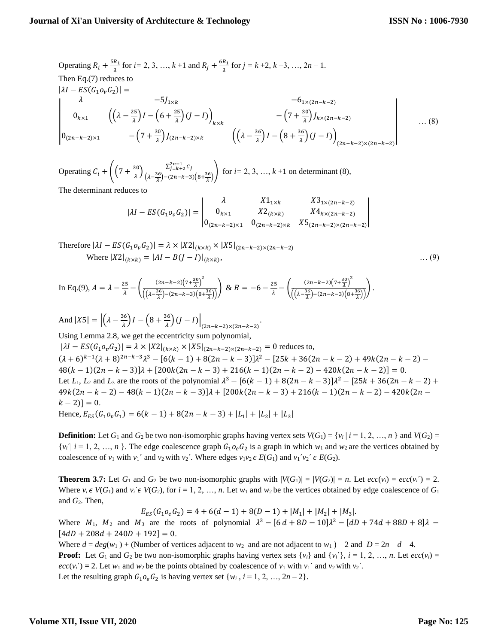Operating 
$$
R_i + \frac{5R_1}{\lambda}
$$
 for  $i = 2, 3, ..., k+1$  and  $R_j + \frac{6R_1}{\lambda}$  for  $j = k+2, k+3, ..., 2n-1$ .  
\nThen Eq.(7) reduces to  
\n
$$
|\lambda I - ES(G_1 o_v G_2)| =
$$
\n
$$
-\frac{5J_{1\times k}}{0}
$$
\n
$$
0_{k\times 1} \left( \left( \lambda - \frac{25}{\lambda} \right) I - \left( 6 + \frac{25}{\lambda} \right) (J - I) \right)_{k\times k} - \left( 7 + \frac{30}{\lambda} \right) J_{k\times (2n-k-2)}
$$
\n
$$
- \left( 7 + \frac{30}{\lambda} \right) J_{(2n-k-2)\times k} \left( \left( \lambda - \frac{36}{\lambda} \right) I - \left( 8 + \frac{36}{\lambda} \right) (J - I) \right)_{(2n-k-2)\times (2n-k-2)}
$$
\n...(8)

Operating  $C_i + \left( \left(7 + \frac{30}{10}\right)$  $\frac{\sum_{j=k+2}^{2n-1} C_j}{\lambda \left(\lambda - \frac{36}{2}\right) - (2n - k - 3)}$  $\frac{2j=k+2}{(1-\frac{36}{\lambda})-(2n-k-3)(8+\frac{36}{\lambda})}$  for *i*= 2, 3, …, *k* +1 on determinant (8), The determinant reduces to

$$
|\lambda I - ES(G_1o_vG_2)| = \begin{vmatrix} \lambda & X1_{1\times k} & X3_{1\times (2n-k-2)} \\ 0_{k\times 1} & X2_{(k\times k)} & X4_{k\times (2n-k-2)} \\ 0_{(2n-k-2)\times 1} & 0_{(2n-k-2)\times k} & X5_{(2n-k-2)\times (2n-k-2)} \end{vmatrix}
$$

Therefore 
$$
|\lambda I - ES(G_1 o_v G_2)| = \lambda \times |X2|_{(k \times k)} \times |X5|_{(2n-k-2) \times (2n-k-2)}
$$
  
Where  $|X2|_{(k \times k)} = |AI - B(J - I)|_{(k \times k)}$ , ... (9)

In Eq.(9), 
$$
A = \lambda - \frac{25}{\lambda} - \left( \frac{(2n-k-2)(7+\frac{30}{\lambda})^2}{\left( \left( \lambda - \frac{36}{\lambda} \right) - (2n-k-3)(8+\frac{36}{\lambda}) \right)} \right) \& B = -6 - \frac{25}{\lambda} - \left( \frac{(2n-k-2)(7+\frac{30}{\lambda})^2}{\left( \left( \lambda - \frac{36}{\lambda} \right) - (2n-k-3)(8+\frac{36}{\lambda}) \right)} \right).
$$

And  $|X5| = |(\lambda - \frac{36}{4})|$  $\left(\frac{36}{\lambda}\right)I-\left(8+\frac{36}{\lambda}\right)$  $\left. \frac{\partial^{\alpha}}{\partial \lambda} \right) (J-I) \right|_{(2n-k-2)\times (2n-k-2)}.$ Using Lemma 2.8, we get the eccentricity sum polynomial,  $|\lambda I - ES(G_1 o_v G_2)| = \lambda \times |X2|_{(k \times k)} \times |X5|_{(2n-k-2) \times (2n-k-2)} = 0$  reduces to,  $(\lambda + 6)^{k-1}(\lambda + 8)^{2n-k-3}\lambda^3 - [6(k-1) + 8(2n-k-3)]\lambda^2 - [25k+36(2n-k-2) + 49k(2n-k-2) 48(k-1)(2n-k-3)$ ] $\lambda + [200k(2n-k-3) + 216(k-1)(2n-k-2) - 420k(2n-k-2)] = 0.$ Let *L*<sub>1</sub>, *L*<sub>2</sub> and *L*<sub>3</sub> are the roots of the polynomial  $\lambda^3 - [6(k-1) + 8(2n - k - 3)]\lambda^2 - [25k + 36(2n - k - 2) +$  $49k(2n - k - 2) - 48(k - 1)(2n - k - 3)$ <br> $\lambda$  +  $[200k(2n - k - 3) + 216(k - 1)(2n - k - 2) - 420k(2n - k - 3)]$  $(k-2)$ ] = 0. Hence,  $E_{ES}(G_1 o_v G_1) = 6(k-1) + 8(2n - k - 3) + |L_1| + |L_2| + |L_3|$ 

**Definition:** Let  $G_1$  and  $G_2$  be two non-isomorphic graphs having vertex sets  $V(G_1) = \{v_i | i = 1, 2, ..., n\}$  and  $V(G_2) =$  $\{v_i \mid i = 1, 2, ..., n\}$ . The edge coalescence graph  $G_1 o_e G_2$  is a graph in which  $w_1$  and  $w_2$  are the vertices obtained by coalescence of  $v_1$  with  $v_1'$  and  $v_2$  with  $v_2'$ . Where edges  $v_1v_2 \in E(G_1)$  and  $v_1'v_2' \in E(G_2)$ .

**Theorem 3.7:** Let  $G_1$  and  $G_2$  be two non-isomorphic graphs with  $|V(G_1)| = |V(G_2)| = n$ . Let  $ecc(v_i) = ecc(v_i') = 2$ . Where  $v_i \in V(G_1)$  and  $v_i \in V(G_2)$ , for  $i = 1, 2, ..., n$ . Let  $w_1$  and  $w_2$  be the vertices obtained by edge coalescence of  $G_1$ and *G*2. Then,

$$
E_{ES}(G_1o_eG_2) = 4 + 6(d - 1) + 8(D - 1) + |M_1| + |M_2| + |M_3|.
$$

Where  $M_1$ ,  $M_2$  and  $M_3$  are the roots of polynomial  $\lambda^3 - [6d + 8D - 10]\lambda^2 - [dD + 74d + 88D + 8]\lambda$  –  $[4 dD + 208d + 240D + 192] = 0.$ 

Where  $d = deg(w_1) +$  (Number of vertices adjacent to  $w_2$  and are not adjacent to  $w_1$ ) – 2 and  $D = 2n - d - 4$ . **Proof:** Let  $G_1$  and  $G_2$  be two non-isomorphic graphs having vertex sets  $\{v_i\}$  and  $\{v'_i\}$ ,  $i = 1, 2, ..., n$ . Let  $ecc(v_i)$  $ecc(v_i') = 2$ . Let  $w_1$  and  $w_2$  be the points obtained by coalescence of  $v_1$  with  $v_1'$  and  $v_2$  with  $v_2'$ . Let the resulting graph  $G_1 o_e G_2$  is having vertex set  $\{w_i, i = 1, 2, ..., 2n - 2\}$ .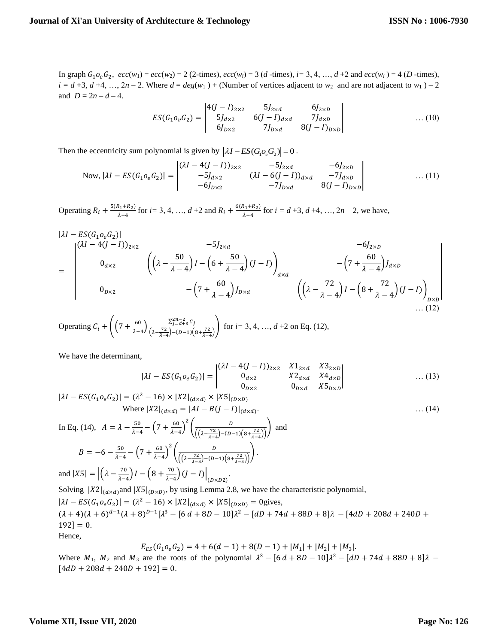In graph  $G_1 o_e G_2$ ,  $ecc(w_1) = ecc(w_2) = 2$  (2-times),  $ecc(w_i) = 3$  (*d*-times),  $i = 3, 4, ..., d + 2$  and  $ecc(w_i) = 4$  (*D*-times),  $i = d + 3$ ,  $d + 4$ , ...,  $2n - 2$ . Where  $d = deg(w_1) +$  (Number of vertices adjacent to  $w_2$  and are not adjacent to  $w_1$ ) – 2 and  $D = 2n - d - 4$ .

$$
ES(G_1o_vG_2) = \begin{vmatrix} 4(J-I)_{2\times 2} & 5J_{2\times d} & 6J_{2\times D} \\ 5J_{d\times 2} & 6(J-I)_{d\times d} & 7J_{d\times D} \\ 6J_{D\times 2} & 7J_{D\times d} & 8(J-I)_{D\times D} \end{vmatrix}
$$
 ... (10)

Then the eccentricity sum polynomial is given by  $|\lambda I - ES(G_1 \circ_{\epsilon} G_2)| = 0$ .

Now, 
$$
|\lambda I - ES(G_1 o_e G_2)| = \begin{vmatrix} (\lambda I - 4(J - I))_{2 \times 2} & -5J_{2 \times d} & -6J_{2 \times D} \\ -5J_{d \times 2} & (\lambda I - 6(J - I))_{d \times d} & -7J_{d \times D} \\ -6J_{D \times 2} & -7J_{D \times d} & 8(J - I)_{D \times D} \end{vmatrix}
$$
 ... (11)

Operating  $R_i + \frac{5(R_1+R_2)}{1-A}$  $\frac{k_1 + k_2}{\lambda - 4}$  for *i* = 3, 4, …, *d* +2 and  $R_i + \frac{6(k_1 + k_2)}{\lambda - 4}$  $\frac{x_1 + x_2}{\lambda - 4}$  for  $i = d + 3, d + 4, ..., 2n - 2$ , we have,

$$
\begin{aligned}\n|\lambda I - ES(G_1 o_e G_2)| & -5J_{2 \times d} & -6J_{2 \times D} \\
&= \begin{vmatrix}\n(\lambda I - 4(J - I))_{2 \times 2} & -5J_{2 \times d} & -6J_{2 \times D} \\
0_{d \times 2} & \left( \left( \lambda - \frac{50}{\lambda - 4} \right) I - \left( 6 + \frac{50}{\lambda - 4} \right) (J - I) \right)_{d \times d} & -\left( 7 + \frac{60}{\lambda - 4} \right) I_{d \times D} \\
0_{D \times 2} & -\left( 7 + \frac{60}{\lambda - 4} \right) J_{D \times d} & \left( \left( \lambda - \frac{72}{\lambda - 4} \right) I - \left( 8 + \frac{72}{\lambda - 4} \right) (J - I) \right)_{D \times D} \\
&\quad \dots (12)\n\end{aligned}
$$

Operating 
$$
C_i + \left( \left( 7 + \frac{60}{\lambda - 4} \right) \frac{\sum_{j=d+3}^{2n-2} C_j}{\left( \lambda - \frac{72}{\lambda - 4} \right) - (D-1) \left( 8 + \frac{72}{\lambda - 4} \right)} \right)
$$
 for  $i = 3, 4, ..., d+2$  on Eq. (12),

We have the determinant,

$$
|\lambda I - ES(G_1 o_e G_2)| = \begin{vmatrix} (\lambda I - 4(J - I))_{2 \times 2} & X 1_{2 \times d} & X 3_{2 \times D} \\ 0_{d \times 2} & X 2_{d \times d} & X 4_{d \times D} \\ 0_{D \times 2} & 0_{D \times d} & X 5_{D \times D} \end{vmatrix}
$$
 ... (13)

$$
|\lambda I - ES(G_1o_eG_2)| = (\lambda^2 - 16) \times |X2|_{(d \times d)} \times |X5|_{(D \times D)}
$$
  
\nWhere  $|X2|_{(d \times d)} = |AI - B(J - I)|_{(d \times d)}$  ... (14)  
\nIn Eq. (14),  $A = \lambda - \frac{50}{\lambda - 4} - \left(7 + \frac{60}{\lambda - 4}\right)^2 \left(\frac{D}{((\lambda - \frac{72}{\lambda - 4}) - (D - 1)(8 + \frac{72}{\lambda - 4})})}\right)$  and  
\n $B = -6 - \frac{50}{\lambda - 4} - \left(7 + \frac{60}{\lambda - 4}\right)^2 \left(\frac{D}{((\lambda - \frac{72}{\lambda - 4}) - (D - 1)(8 + \frac{72}{\lambda - 4})})}\right)$ .  
\nand  $|X5| = |(\lambda - \frac{70}{\lambda - 4})I - (8 + \frac{70}{\lambda - 4}) (J - I)|_{(D \times D2)}$ .  
\nSolving  $|X2|_{(d \times d)}$  and  $|X5|_{(D \times D)}$ , by using Lemma 2.8, we have the characteristic polynomial,  
\n $|\lambda I - ES(G_1o_eG_2)| = (\lambda^2 - 16) \times |X2|_{(d \times d)} \times |X5|_{(D \times D)} = 0$  gives,  
\n $(\lambda + 4)(\lambda + 6)^{d-1}(\lambda + 8)^{D-1}[\lambda^3 - [6d + 8D - 10]\lambda^2 - [dD + 74d + 88D + 8]\lambda - [4dD + 208d + 240D + 192] = 0$ .  
\nHence,

$$
E_{ES}(G_1o_eG_2) = 4 + 6(d - 1) + 8(D - 1) + |M_1| + |M_2| + |M_3|.
$$

Where  $M_1$ ,  $M_2$  and  $M_3$  are the roots of the polynomial  $\lambda^3 - [6d + 8D - 10]\lambda^2 - [dD + 74d + 88D + 8]\lambda$  –  $[4 dD + 208d + 240D + 192] = 0.$ 

# **Volume XII, Issue VII, 2020**